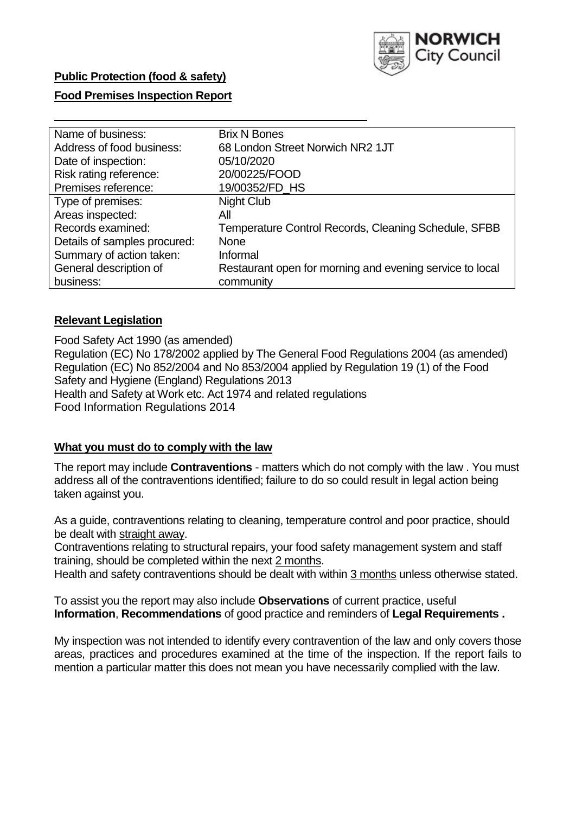

## **Public Protection (food & safety)**

### **Food Premises Inspection Report**

| Name of business:            | <b>Brix N Bones</b>                                      |
|------------------------------|----------------------------------------------------------|
| Address of food business:    | 68 London Street Norwich NR2 1JT                         |
| Date of inspection:          | 05/10/2020                                               |
| Risk rating reference:       | 20/00225/FOOD                                            |
| Premises reference:          | 19/00352/FD HS                                           |
| Type of premises:            | <b>Night Club</b>                                        |
| Areas inspected:             | All                                                      |
| Records examined:            | Temperature Control Records, Cleaning Schedule, SFBB     |
| Details of samples procured: | <b>None</b>                                              |
| Summary of action taken:     | Informal                                                 |
| General description of       | Restaurant open for morning and evening service to local |
| business:                    | community                                                |

### **Relevant Legislation**

 Food Safety Act 1990 (as amended) Regulation (EC) No 178/2002 applied by The General Food Regulations 2004 (as amended) Regulation (EC) No 852/2004 and No 853/2004 applied by Regulation 19 (1) of the Food Safety and Hygiene (England) Regulations 2013 Health and Safety at Work etc. Act 1974 and related regulations Food Information Regulations 2014

### **What you must do to comply with the law**

 The report may include **Contraventions** - matters which do not comply with the law . You must address all of the contraventions identified; failure to do so could result in legal action being taken against you.

 As a guide, contraventions relating to cleaning, temperature control and poor practice, should be dealt with straight away.

 Contraventions relating to structural repairs, your food safety management system and staff training, should be completed within the next 2 months.

Health and safety contraventions should be dealt with within 3 months unless otherwise stated.

 To assist you the report may also include **Observations** of current practice, useful **Information**, **Recommendations** of good practice and reminders of **Legal Requirements .** 

 My inspection was not intended to identify every contravention of the law and only covers those areas, practices and procedures examined at the time of the inspection. If the report fails to mention a particular matter this does not mean you have necessarily complied with the law.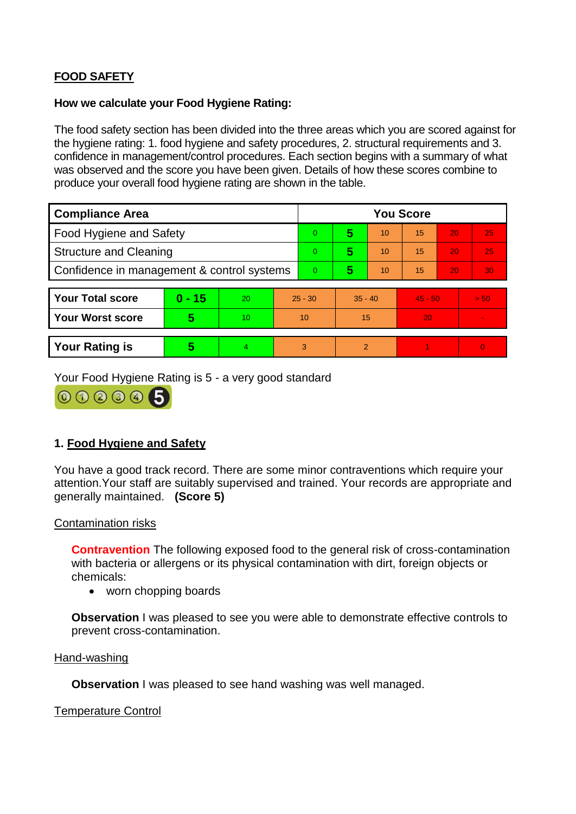# **FOOD SAFETY**

### **How we calculate your Food Hygiene Rating:**

 The food safety section has been divided into the three areas which you are scored against for the hygiene rating: 1. food hygiene and safety procedures, 2. structural requirements and 3. confidence in management/control procedures. Each section begins with a summary of what was observed and the score you have been given. Details of how these scores combine to produce your overall food hygiene rating are shown in the table.

| <b>Compliance Area</b>                     |          |    |                | <b>You Score</b> |                |    |           |    |          |  |  |
|--------------------------------------------|----------|----|----------------|------------------|----------------|----|-----------|----|----------|--|--|
| <b>Food Hygiene and Safety</b>             |          |    | $\Omega$       | 5                | 10             | 15 | 20        | 25 |          |  |  |
| <b>Structure and Cleaning</b>              |          |    | $\Omega$       | 5                | 10             | 15 | 20        | 25 |          |  |  |
| Confidence in management & control systems |          |    | $\overline{0}$ | 5                | 10             | 15 | 20        | 30 |          |  |  |
|                                            |          |    |                |                  |                |    |           |    |          |  |  |
| <b>Your Total score</b>                    | $0 - 15$ | 20 | $25 - 30$      |                  | $35 - 40$      |    | $45 - 50$ |    | > 50     |  |  |
| Your Worst score                           | 5        | 10 | 10             |                  | 15             |    | 20        |    |          |  |  |
|                                            |          |    |                |                  |                |    |           |    |          |  |  |
| <b>Your Rating is</b>                      | 5        | 4. | 3              |                  | $\overline{2}$ |    |           |    | $\Omega$ |  |  |

Your Food Hygiene Rating is 5 - a very good standard

000005

# **1. Food Hygiene and Safety**

 attention.Your staff are suitably supervised and trained. Your records are appropriate and You have a good track record. There are some minor contraventions which require your generally maintained. **(Score 5)** 

### Contamination risks

 **Contravention** The following exposed food to the general risk of cross-contamination with bacteria or allergens or its physical contamination with dirt, foreign objects or chemicals:

• worn chopping boards

**Observation** I was pleased to see you were able to demonstrate effective controls to prevent cross-contamination.

#### Hand-washing

**Observation** I was pleased to see hand washing was well managed.

### Temperature Control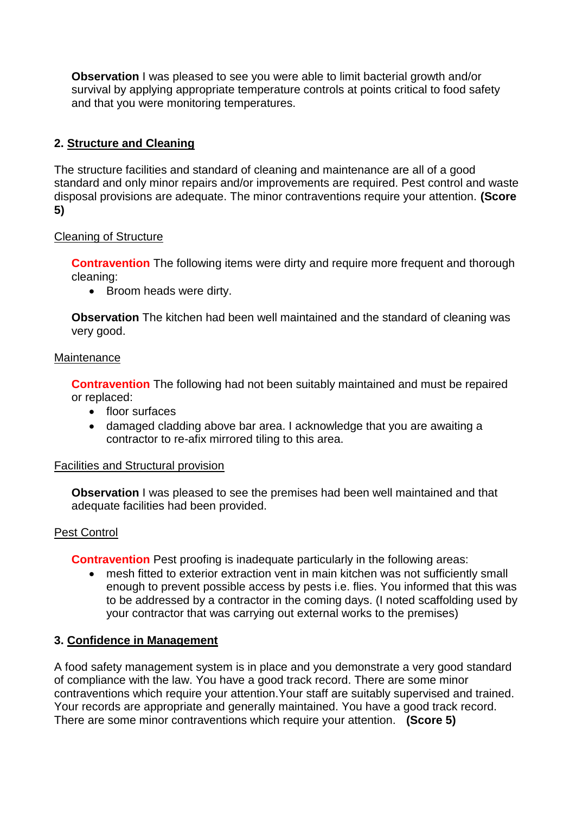survival by applying appropriate temperature controls at points critical to food safety **Observation** I was pleased to see you were able to limit bacterial growth and/or and that you were monitoring temperatures.

# **2. Structure and Cleaning**

The structure facilities and standard of cleaning and maintenance are all of a good standard and only minor repairs and/or improvements are required. Pest control and waste disposal provisions are adequate. The minor contraventions require your attention. **(Score 5)** 

## Cleaning of Structure

**Contravention** The following items were dirty and require more frequent and thorough cleaning:

• Broom heads were dirty.

**Observation** The kitchen had been well maintained and the standard of cleaning was very good.

### **Maintenance**

**Contravention** The following had not been suitably maintained and must be repaired or replaced:

- floor surfaces
- damaged cladding above bar area. I acknowledge that you are awaiting a contractor to re-afix mirrored tiling to this area.

### Facilities and Structural provision

 **Observation** I was pleased to see the premises had been well maintained and that adequate facilities had been provided.

### Pest Control

**Contravention** Pest proofing is inadequate particularly in the following areas:

• mesh fitted to exterior extraction vent in main kitchen was not sufficiently small enough to prevent possible access by pests i.e. flies. You informed that this was to be addressed by a contractor in the coming days. (I noted scaffolding used by your contractor that was carrying out external works to the premises)

### **3. Confidence in Management**

 Your records are appropriate and generally maintained. You have a good track record. A food safety management system is in place and you demonstrate a very good standard of compliance with the law. You have a good track record. There are some minor contraventions which require your attention.Your staff are suitably supervised and trained. There are some minor contraventions which require your attention. **(Score 5)**